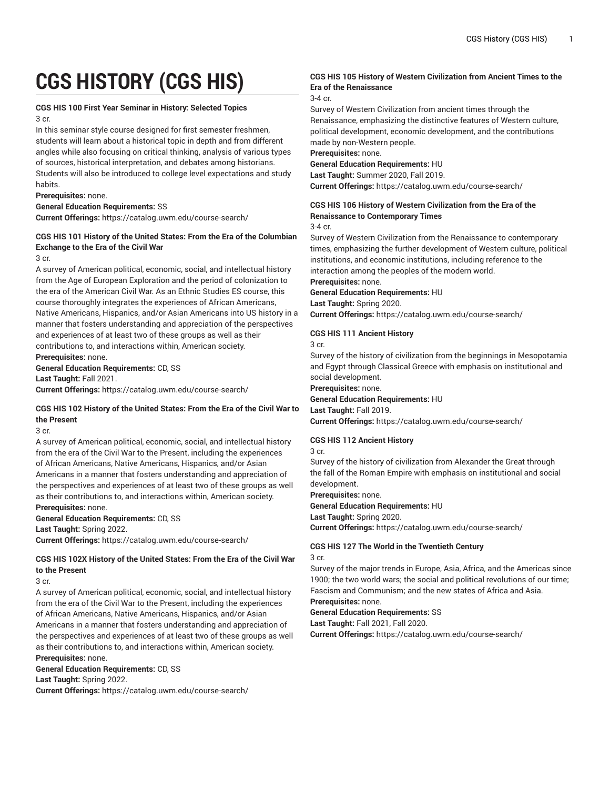# **CGS HISTORY (CGS HIS)**

#### **CGS HIS 100 First Year Seminar in History: Selected Topics** 3 cr.

In this seminar style course designed for first semester freshmen, students will learn about a historical topic in depth and from different angles while also focusing on critical thinking, analysis of various types of sources, historical interpretation, and debates among historians. Students will also be introduced to college level expectations and study habits.

**Prerequisites:** none.

**General Education Requirements:** SS

**Current Offerings:** <https://catalog.uwm.edu/course-search/>

# **CGS HIS 101 History of the United States: From the Era of the Columbian Exchange to the Era of the Civil War**

3 cr.

A survey of American political, economic, social, and intellectual history from the Age of European Exploration and the period of colonization to the era of the American Civil War. As an Ethnic Studies ES course, this course thoroughly integrates the experiences of African Americans, Native Americans, Hispanics, and/or Asian Americans into US history in a manner that fosters understanding and appreciation of the perspectives and experiences of at least two of these groups as well as their contributions to, and interactions within, American society.

**Prerequisites:** none.

**General Education Requirements:** CD, SS

**Last Taught:** Fall 2021.

**Current Offerings:** <https://catalog.uwm.edu/course-search/>

# **CGS HIS 102 History of the United States: From the Era of the Civil War to the Present**

3 cr.

A survey of American political, economic, social, and intellectual history from the era of the Civil War to the Present, including the experiences of African Americans, Native Americans, Hispanics, and/or Asian Americans in a manner that fosters understanding and appreciation of the perspectives and experiences of at least two of these groups as well as their contributions to, and interactions within, American society. **Prerequisites:** none.

**General Education Requirements:** CD, SS **Last Taught:** Spring 2022. **Current Offerings:** <https://catalog.uwm.edu/course-search/>

## **CGS HIS 102X History of the United States: From the Era of the Civil War to the Present**

3 cr.

A survey of American political, economic, social, and intellectual history from the era of the Civil War to the Present, including the experiences of African Americans, Native Americans, Hispanics, and/or Asian Americans in a manner that fosters understanding and appreciation of the perspectives and experiences of at least two of these groups as well as their contributions to, and interactions within, American society. **Prerequisites:** none.

**General Education Requirements:** CD, SS **Last Taught:** Spring 2022. **Current Offerings:** <https://catalog.uwm.edu/course-search/>

## **CGS HIS 105 History of Western Civilization from Ancient Times to the Era of the Renaissance**

3-4 cr.

Survey of Western Civilization from ancient times through the Renaissance, emphasizing the distinctive features of Western culture, political development, economic development, and the contributions made by non-Western people.

**Prerequisites:** none.

**General Education Requirements:** HU **Last Taught:** Summer 2020, Fall 2019. **Current Offerings:** <https://catalog.uwm.edu/course-search/>

# **CGS HIS 106 History of Western Civilization from the Era of the Renaissance to Contemporary Times**

3-4 cr.

Survey of Western Civilization from the Renaissance to contemporary times, emphasizing the further development of Western culture, political institutions, and economic institutions, including reference to the interaction among the peoples of the modern world.

# **Prerequisites:** none.

**General Education Requirements:** HU **Last Taught:** Spring 2020. **Current Offerings:** <https://catalog.uwm.edu/course-search/>

#### **CGS HIS 111 Ancient History**

3 cr.

Survey of the history of civilization from the beginnings in Mesopotamia and Egypt through Classical Greece with emphasis on institutional and social development.

#### **Prerequisites:** none.

**General Education Requirements:** HU

**Last Taught:** Fall 2019.

**Current Offerings:** <https://catalog.uwm.edu/course-search/>

#### **CGS HIS 112 Ancient History**

3 cr.

Survey of the history of civilization from Alexander the Great through the fall of the Roman Empire with emphasis on institutional and social development.

**Prerequisites:** none.

**General Education Requirements:** HU

**Last Taught:** Spring 2020. **Current Offerings:** <https://catalog.uwm.edu/course-search/>

# **CGS HIS 127 The World in the Twentieth Century**

3 cr.

Survey of the major trends in Europe, Asia, Africa, and the Americas since 1900; the two world wars; the social and political revolutions of our time; Fascism and Communism; and the new states of Africa and Asia. **Prerequisites:** none.

# **General Education Requirements:** SS

**Last Taught:** Fall 2021, Fall 2020.

**Current Offerings:** <https://catalog.uwm.edu/course-search/>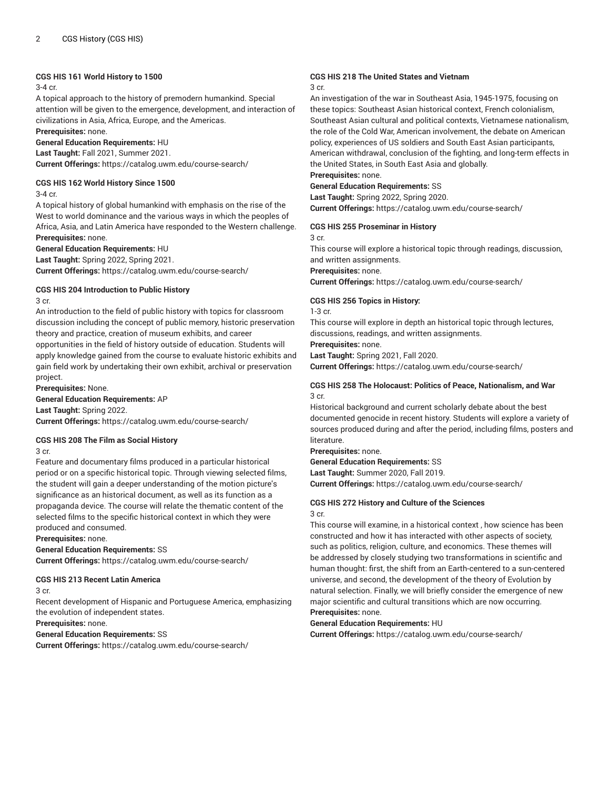#### **CGS HIS 161 World History to 1500**

#### 3-4 cr.

A topical approach to the history of premodern humankind. Special attention will be given to the emergence, development, and interaction of civilizations in Asia, Africa, Europe, and the Americas.

**Prerequisites:** none.

**General Education Requirements:** HU

**Last Taught:** Fall 2021, Summer 2021. **Current Offerings:** <https://catalog.uwm.edu/course-search/>

#### **CGS HIS 162 World History Since 1500**

#### 3-4 cr.

A topical history of global humankind with emphasis on the rise of the West to world dominance and the various ways in which the peoples of Africa, Asia, and Latin America have responded to the Western challenge. **Prerequisites:** none.

#### **General Education Requirements:** HU

**Last Taught:** Spring 2022, Spring 2021. **Current Offerings:** <https://catalog.uwm.edu/course-search/>

# **CGS HIS 204 Introduction to Public History**

3 cr.

An introduction to the field of public history with topics for classroom discussion including the concept of public memory, historic preservation theory and practice, creation of museum exhibits, and career opportunities in the field of history outside of education. Students will apply knowledge gained from the course to evaluate historic exhibits and gain field work by undertaking their own exhibit, archival or preservation project.

**Prerequisites:** None. **General Education Requirements:** AP **Last Taught:** Spring 2022. **Current Offerings:** <https://catalog.uwm.edu/course-search/>

#### **CGS HIS 208 The Film as Social History**

3 cr.

Feature and documentary films produced in a particular historical period or on a specific historical topic. Through viewing selected films, the student will gain a deeper understanding of the motion picture's significance as an historical document, as well as its function as a propaganda device. The course will relate the thematic content of the selected films to the specific historical context in which they were produced and consumed.

**Prerequisites:** none.

#### **General Education Requirements:** SS

**Current Offerings:** <https://catalog.uwm.edu/course-search/>

#### **CGS HIS 213 Recent Latin America**

3 cr.

Recent development of Hispanic and Portuguese America, emphasizing the evolution of independent states.

**Prerequisites:** none.

**General Education Requirements:** SS

**Current Offerings:** <https://catalog.uwm.edu/course-search/>

## **CGS HIS 218 The United States and Vietnam**

#### 3 cr.

An investigation of the war in Southeast Asia, 1945-1975, focusing on these topics: Southeast Asian historical context, French colonialism, Southeast Asian cultural and political contexts, Vietnamese nationalism, the role of the Cold War, American involvement, the debate on American policy, experiences of US soldiers and South East Asian participants, American withdrawal, conclusion of the fighting, and long-term effects in the United States, in South East Asia and globally.

# **Prerequisites:** none.

**General Education Requirements:** SS

**Last Taught:** Spring 2022, Spring 2020. **Current Offerings:** <https://catalog.uwm.edu/course-search/>

#### **CGS HIS 255 Proseminar in History**

3 cr.

This course will explore a historical topic through readings, discussion, and written assignments.

**Prerequisites:** none.

**Current Offerings:** <https://catalog.uwm.edu/course-search/>

#### **CGS HIS 256 Topics in History:**

1-3 cr.

This course will explore in depth an historical topic through lectures, discussions, readings, and written assignments.

#### **Prerequisites:** none.

**Last Taught:** Spring 2021, Fall 2020.

# **Current Offerings:** <https://catalog.uwm.edu/course-search/>

#### **CGS HIS 258 The Holocaust: Politics of Peace, Nationalism, and War** 3 cr.

Historical background and current scholarly debate about the best documented genocide in recent history. Students will explore a variety of sources produced during and after the period, including films, posters and literature.

## **Prerequisites:** none.

**General Education Requirements:** SS

**Last Taught:** Summer 2020, Fall 2019.

**Current Offerings:** <https://catalog.uwm.edu/course-search/>

# **CGS HIS 272 History and Culture of the Sciences**

3 cr.

This course will examine, in a historical context , how science has been constructed and how it has interacted with other aspects of society, such as politics, religion, culture, and economics. These themes will be addressed by closely studying two transformations in scientific and human thought: first, the shift from an Earth-centered to a sun-centered universe, and second, the development of the theory of Evolution by natural selection. Finally, we will briefly consider the emergence of new major scientific and cultural transitions which are now occurring. **Prerequisites:** none.

#### **General Education Requirements:** HU

**Current Offerings:** <https://catalog.uwm.edu/course-search/>